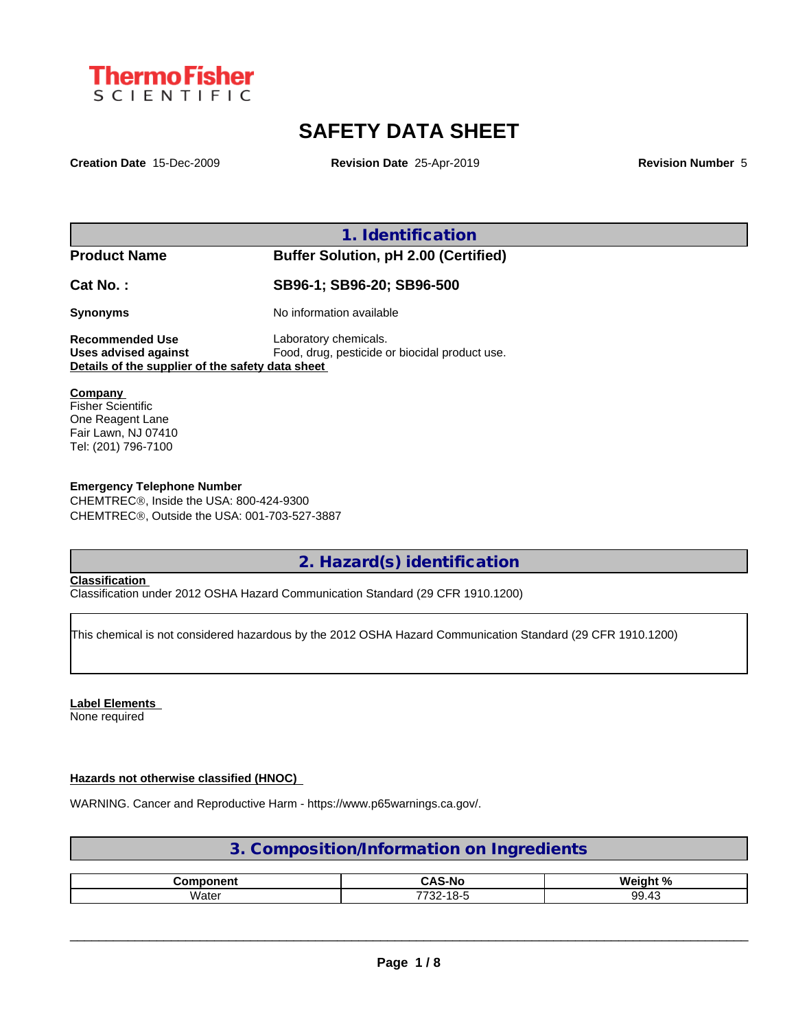

# **SAFETY DATA SHEET**

**Creation Date** 15-Dec-2009 **Revision Date** 25-Apr-2019 **Revision Number** 5

**1. Identification**

**Product Name Buffer Solution, pH 2.00 (Certified)**

**Cat No. : SB96-1; SB96-20; SB96-500**

**Synonyms** No information available

**Recommended Use** Laboratory chemicals. **Uses advised against** Food, drug, pesticide or biocidal product use. **Details of the supplier of the safety data sheet**

### **Company**

Fisher Scientific One Reagent Lane Fair Lawn, NJ 07410 Tel: (201) 796-7100

# **Emergency Telephone Number**

CHEMTREC®, Inside the USA: 800-424-9300 CHEMTRECÒ, Outside the USA: 001-703-527-3887

**2. Hazard(s) identification**

# **Classification**

Classification under 2012 OSHA Hazard Communication Standard (29 CFR 1910.1200)

This chemical is not considered hazardous by the 2012 OSHA Hazard Communication Standard (29 CFR 1910.1200)

## **Label Elements**

None required

# **Hazards not otherwise classified (HNOC)**

WARNING. Cancer and Reproductive Harm - https://www.p65warnings.ca.gov/.

# **3. Composition/Information on Ingredients**

|              | $\bullet$<br>∴Δ'<br>5-NG | О.<br><b>Wain</b> |
|--------------|--------------------------|-------------------|
| . .<br>Water | .<br>770<br>10-C<br>-22  | ററ<br>. .<br>ັ້   |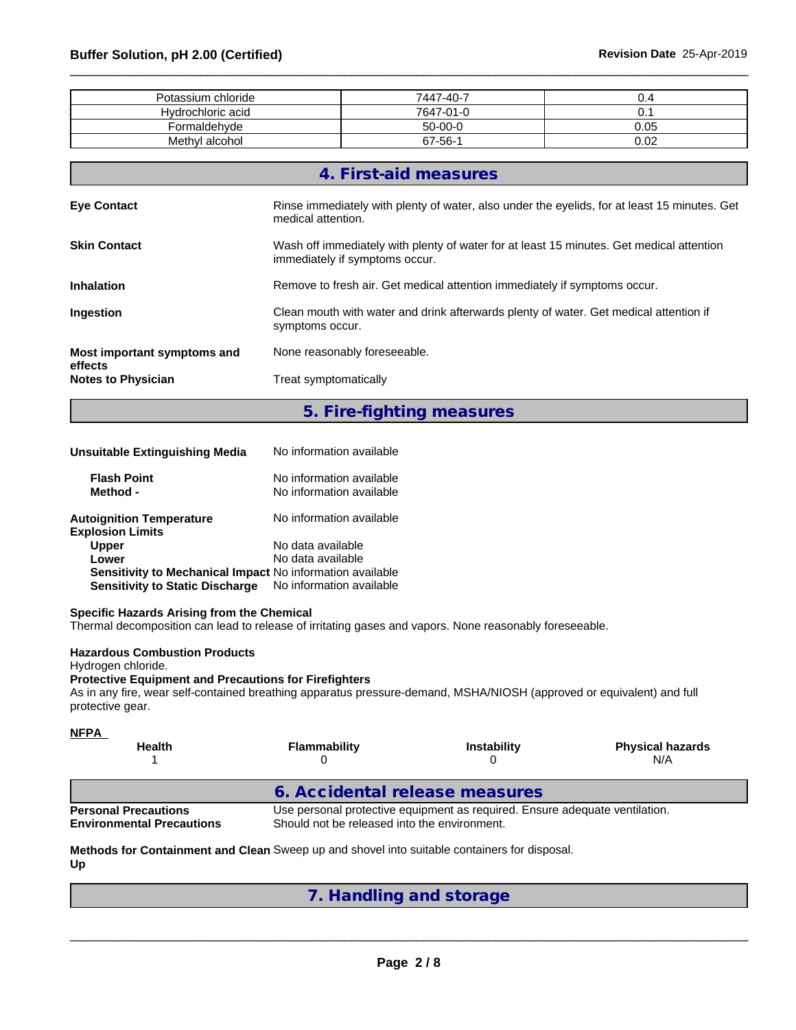| Potassium chloride | 7447-40-7 | ັ.   |
|--------------------|-----------|------|
| Hydrochloric acid  | 7647-01-0 | υ.   |
| Formaldehyde       | $50-00-0$ | 0.05 |
| Methyl alcohol     | 67-56-1   | 0.02 |

|                                        | 4. First-aid measures                                                                                                      |
|----------------------------------------|----------------------------------------------------------------------------------------------------------------------------|
| <b>Eye Contact</b>                     | Rinse immediately with plenty of water, also under the eyelids, for at least 15 minutes. Get<br>medical attention.         |
| <b>Skin Contact</b>                    | Wash off immediately with plenty of water for at least 15 minutes. Get medical attention<br>immediately if symptoms occur. |
| <b>Inhalation</b>                      | Remove to fresh air. Get medical attention immediately if symptoms occur.                                                  |
| <b>Ingestion</b>                       | Clean mouth with water and drink afterwards plenty of water. Get medical attention if<br>symptoms occur.                   |
| Most important symptoms and<br>effects | None reasonably foreseeable.                                                                                               |
| <b>Notes to Physician</b>              | Treat symptomatically                                                                                                      |
|                                        |                                                                                                                            |

**5. Fire-fighting measures**

| Unsuitable Extinguishing Media                                   | No information available                             |  |
|------------------------------------------------------------------|------------------------------------------------------|--|
| <b>Flash Point</b><br>Method -                                   | No information available<br>No information available |  |
| <b>Autoignition Temperature</b><br><b>Explosion Limits</b>       | No information available                             |  |
| <b>Upper</b>                                                     | No data available                                    |  |
| Lower                                                            | No data available                                    |  |
| <b>Sensitivity to Mechanical Impact No information available</b> |                                                      |  |
| <b>Sensitivity to Static Discharge</b>                           | No information available                             |  |

# **Specific Hazards Arising from the Chemical**

Thermal decomposition can lead to release of irritating gases and vapors. None reasonably foreseeable.

### **Hazardous Combustion Products**

Hydrogen chloride.

## **Protective Equipment and Precautions for Firefighters**

As in any fire, wear self-contained breathing apparatus pressure-demand, MSHA/NIOSH (approved or equivalent) and full protective gear.

| <b>NFPA</b><br><b>Health</b>                                    | <b>Flammability</b>                          | <b>Instability</b>                                                          | <b>Physical hazards</b><br>N/A |
|-----------------------------------------------------------------|----------------------------------------------|-----------------------------------------------------------------------------|--------------------------------|
|                                                                 | 6. Accidental release measures               |                                                                             |                                |
| <b>Personal Precautions</b><br><b>Environmental Precautions</b> | Should not be released into the environment. | Use personal protective equipment as required. Ensure adequate ventilation. |                                |

### **Methods for Containment and Clean** Sweep up and shovel into suitable containers for disposal. **Up**

|  | 7. Handling and storage |  |  |  |  |  |
|--|-------------------------|--|--|--|--|--|
|--|-------------------------|--|--|--|--|--|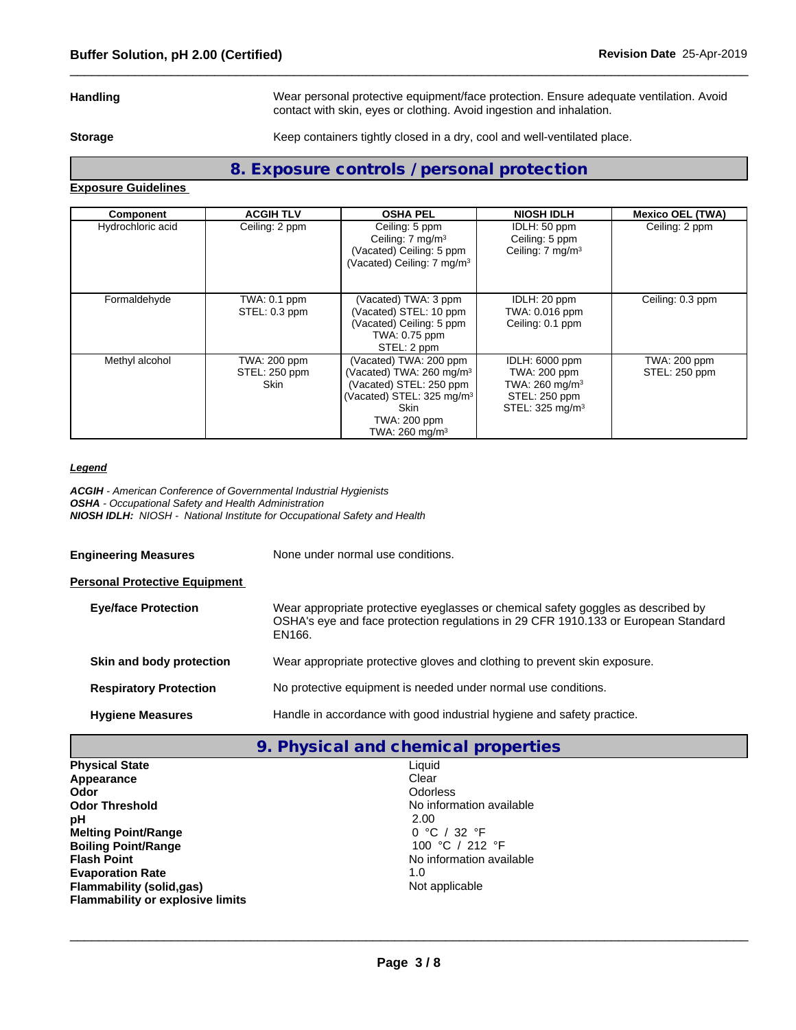**Handling** Wear personal protective equipment/face protection. Ensure adequate ventilation. Avoid contact with skin, eyes or clothing. Avoid ingestion and inhalation.

**Storage** Keep containers tightly closed in a dry, cool and well-ventilated place.

# **8. Exposure controls / personal protection**

**Exposure Guidelines**

| Component         | <b>ACGIH TLV</b>                             | <b>OSHA PEL</b>                                                                                                                                                                            | <b>NIOSH IDLH</b>                                                                                            | <b>Mexico OEL (TWA)</b>       |
|-------------------|----------------------------------------------|--------------------------------------------------------------------------------------------------------------------------------------------------------------------------------------------|--------------------------------------------------------------------------------------------------------------|-------------------------------|
| Hydrochloric acid | Ceiling: 2 ppm                               | Ceiling: 5 ppm<br>Ceiling: $7 \text{ mg/m}^3$<br>(Vacated) Ceiling: 5 ppm<br>(Vacated) Ceiling: 7 mg/m <sup>3</sup>                                                                        | IDLH: 50 ppm<br>Ceiling: 5 ppm<br>Ceiling: 7 mg/m <sup>3</sup>                                               | Ceiling: 2 ppm                |
| Formaldehyde      | TWA: 0.1 ppm<br>STEL: 0.3 ppm                | (Vacated) TWA: 3 ppm<br>(Vacated) STEL: 10 ppm<br>(Vacated) Ceiling: 5 ppm<br>TWA: 0.75 ppm<br>STEL: 2 ppm                                                                                 | IDLH: 20 ppm<br>TWA: 0.016 ppm<br>Ceiling: 0.1 ppm                                                           | Ceiling: 0.3 ppm              |
| Methyl alcohol    | TWA: 200 ppm<br>STEL: 250 ppm<br><b>Skin</b> | (Vacated) TWA: 200 ppm<br>(Vacated) TWA: 260 mg/m <sup>3</sup><br>(Vacated) STEL: 250 ppm<br>(Vacated) STEL: 325 mg/m <sup>3</sup><br>Skin<br>TWA: 200 ppm<br>TWA: $260$ mg/m <sup>3</sup> | IDLH: 6000 ppm<br>TWA: 200 ppm<br>TWA: 260 mg/m <sup>3</sup><br>STEL: 250 ppm<br>STEL: 325 mg/m <sup>3</sup> | TWA: 200 ppm<br>STEL: 250 ppm |

## *Legend*

*ACGIH - American Conference of Governmental Industrial Hygienists OSHA - Occupational Safety and Health Administration NIOSH IDLH: NIOSH - National Institute for Occupational Safety and Health*

**Engineering Measures** None under normal use conditions.

### **Personal Protective Equipment**

| <b>Eye/face Protection</b>    | Wear appropriate protective eyeglasses or chemical safety goggles as described by<br>OSHA's eye and face protection regulations in 29 CFR 1910.133 or European Standard<br>EN166. |
|-------------------------------|-----------------------------------------------------------------------------------------------------------------------------------------------------------------------------------|
| Skin and body protection      | Wear appropriate protective gloves and clothing to prevent skin exposure.                                                                                                         |
| <b>Respiratory Protection</b> | No protective equipment is needed under normal use conditions.                                                                                                                    |
| <b>Hygiene Measures</b>       | Handle in accordance with good industrial hygiene and safety practice.                                                                                                            |

| 9. Physical and chemical properties     |                          |  |  |
|-----------------------------------------|--------------------------|--|--|
| <b>Physical State</b>                   | Liquid                   |  |  |
| Appearance                              | Clear                    |  |  |
| Odor                                    | <b>Odorless</b>          |  |  |
| <b>Odor Threshold</b>                   | No information available |  |  |
| рH                                      | 2.00                     |  |  |
| <b>Melting Point/Range</b>              | 0 °C / 32 °F             |  |  |
| <b>Boiling Point/Range</b>              | 100 °C / 212 °F          |  |  |
| <b>Flash Point</b>                      | No information available |  |  |
| <b>Evaporation Rate</b>                 | 1.0                      |  |  |
| <b>Flammability (solid,gas)</b>         | Not applicable           |  |  |
| <b>Flammability or explosive limits</b> |                          |  |  |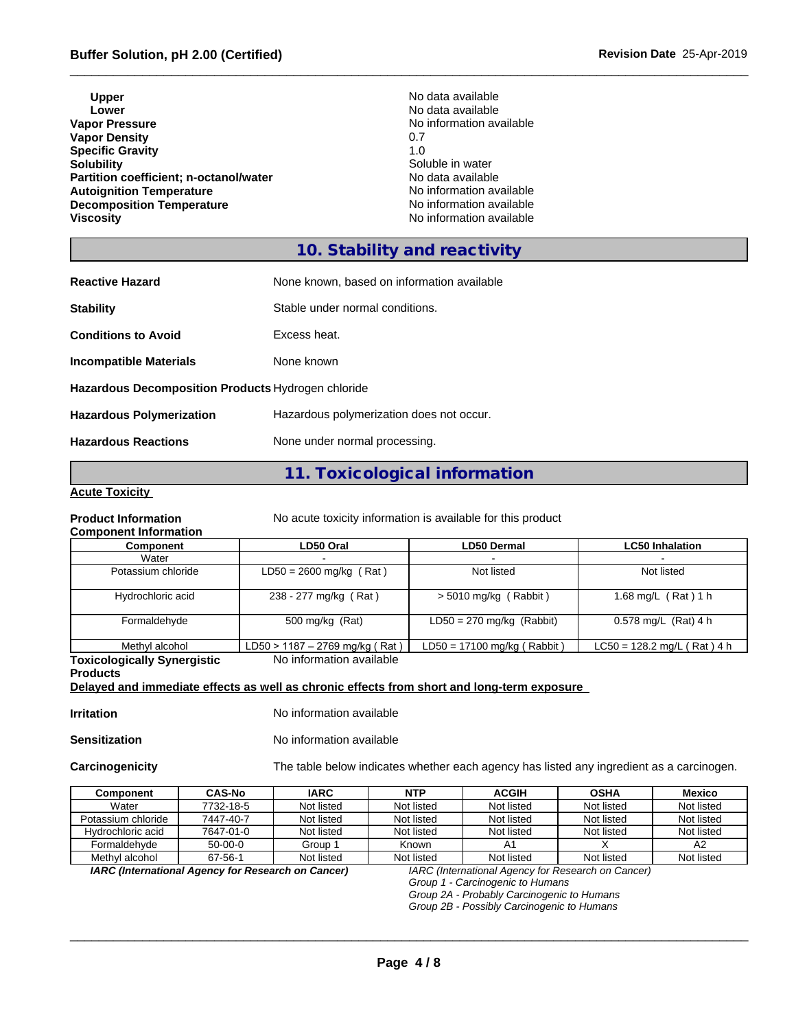| No data available<br>Lower<br>No information available<br>0.7<br>1.0<br>Soluble in water<br>No data available<br>No information available<br>No information available<br>No information available | <b>Upper</b>                           | No data available |
|---------------------------------------------------------------------------------------------------------------------------------------------------------------------------------------------------|----------------------------------------|-------------------|
|                                                                                                                                                                                                   |                                        |                   |
|                                                                                                                                                                                                   | <b>Vapor Pressure</b>                  |                   |
|                                                                                                                                                                                                   | <b>Vapor Density</b>                   |                   |
|                                                                                                                                                                                                   | <b>Specific Gravity</b>                |                   |
|                                                                                                                                                                                                   | <b>Solubility</b>                      |                   |
|                                                                                                                                                                                                   | Partition coefficient; n-octanol/water |                   |
|                                                                                                                                                                                                   | <b>Autoignition Temperature</b>        |                   |
|                                                                                                                                                                                                   | <b>Decomposition Temperature</b>       |                   |
|                                                                                                                                                                                                   | <b>Viscosity</b>                       |                   |

# **10. Stability and reactivity**

| <b>Reactive Hazard</b>                             | None known, based on information available |
|----------------------------------------------------|--------------------------------------------|
| <b>Stability</b>                                   | Stable under normal conditions.            |
| <b>Conditions to Avoid</b>                         | Excess heat.                               |
| <b>Incompatible Materials</b>                      | None known                                 |
| Hazardous Decomposition Products Hydrogen chloride |                                            |
| <b>Hazardous Polymerization</b>                    | Hazardous polymerization does not occur.   |
| <b>Hazardous Reactions</b>                         | None under normal processing.              |

# **11. Toxicological information**

# **Acute Toxicity**

**Product Information** No acute toxicity information is available for this product

# **Component Information**

| No acute toxicity information is available for this pro- |  |
|----------------------------------------------------------|--|
|----------------------------------------------------------|--|

| <b>UUIIIDUIIEIIII IIIIUI IIIIIIUII</b> |                                |                               |                               |
|----------------------------------------|--------------------------------|-------------------------------|-------------------------------|
| Component                              | LD50 Oral                      | LD50 Dermal                   | <b>LC50 Inhalation</b>        |
| Water                                  |                                |                               |                               |
| Potassium chloride                     | $LD50 = 2600$ mg/kg (Rat)      | Not listed                    | Not listed                    |
| Hydrochloric acid                      | 238 - 277 mg/kg (Rat)          | $> 5010$ mg/kg (Rabbit)       | 1.68 mg/L $($ Rat $)$ 1 h     |
| Formaldehyde                           | 500 mg/kg (Rat)                | $LD50 = 270$ mg/kg (Rabbit)   | 0.578 mg/L $(Rat)$ 4 h        |
| Methyl alcohol                         | LD50 > 1187 - 2769 mg/kg (Rat) | $LD50 = 17100$ mg/kg (Rabbit) | $LC50 = 128.2$ mg/L (Rat) 4 h |
| Toxicologically Synergistic            | No information available       |                               |                               |

**Toxicologically Synergistic Products** No information available **Delayed and immediate effects as well as chronic effects from short and long-term exposure**

**Irritation** No information available

**Sensitization** No information available

**Carcinogenicity** The table below indicateswhether each agency has listed any ingredient as a carcinogen.

| Component          | <b>CAS-No</b> | <b>IARC</b> | <b>NTP</b> | <b>ACGIH</b> | <b>OSHA</b> | <b>Mexico</b> |
|--------------------|---------------|-------------|------------|--------------|-------------|---------------|
| Water              | 7732-18-5     | Not listed  | Not listed | Not listed   | Not listed  | Not listed    |
| Potassium chloride | 7447-40-7     | Not listed  | Not listed | Not listed   | Not listed  | Not listed    |
| Hydrochloric acid  | 7647-01-0     | Not listed  | Not listed | Not listed   | Not listed  | Not listed    |
| Formaldehvde       | 50-00-0       | Group 1     | Known      |              |             | A2            |
| Methyl alcohol     | 67-56-1       | Not listed  | Not listed | Not listed   | Not listed  | Not listed    |

*IARC (International Agency for Research on Cancer) IARC (International Agency for Research on Cancer)*

*Group 1 - Carcinogenic to Humans*

 $\_$  ,  $\_$  ,  $\_$  ,  $\_$  ,  $\_$  ,  $\_$  ,  $\_$  ,  $\_$  ,  $\_$  ,  $\_$  ,  $\_$  ,  $\_$  ,  $\_$  ,  $\_$  ,  $\_$  ,  $\_$  ,  $\_$  ,  $\_$  ,  $\_$  ,  $\_$  ,  $\_$  ,  $\_$  ,  $\_$  ,  $\_$  ,  $\_$  ,  $\_$  ,  $\_$  ,  $\_$  ,  $\_$  ,  $\_$  ,  $\_$  ,  $\_$  ,  $\_$  ,  $\_$  ,  $\_$  ,  $\_$  ,  $\_$  ,

*Group 2A - Probably Carcinogenic to Humans*

*Group 2B - Possibly Carcinogenic to Humans*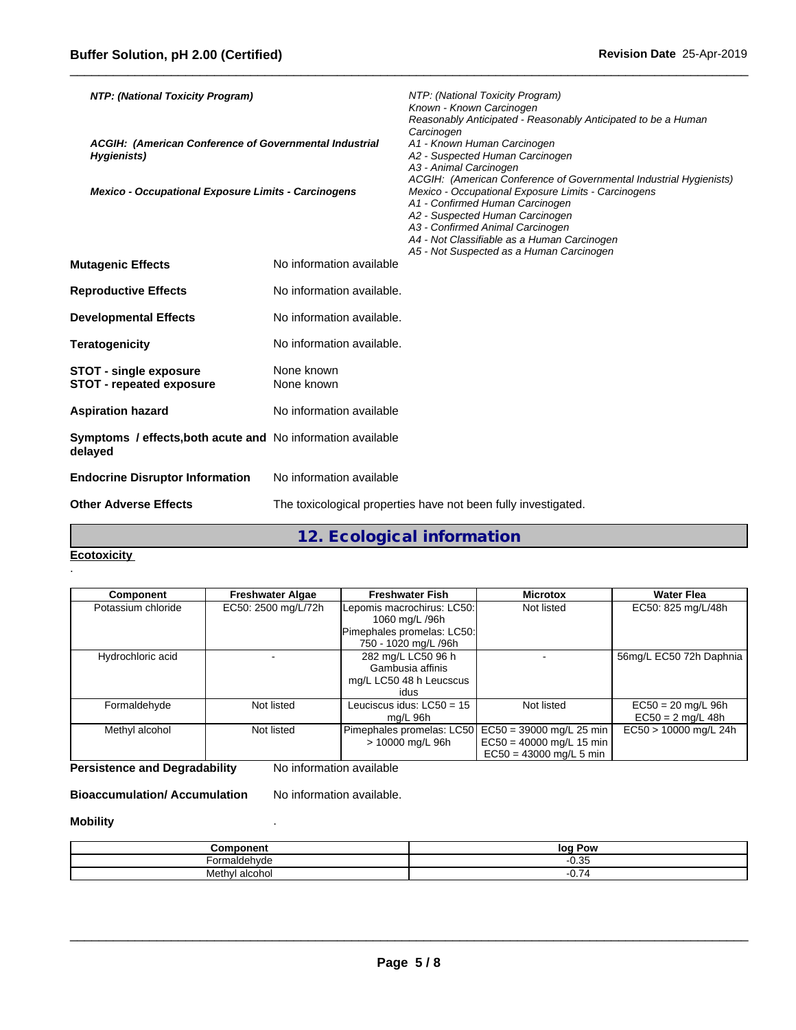| NTP: (National Toxicity Program)                                       |                           | NTP: (National Toxicity Program)<br>Known - Known Carcinogen<br>Reasonably Anticipated - Reasonably Anticipated to be a Human<br>Carcinogen                                                                                                              |
|------------------------------------------------------------------------|---------------------------|----------------------------------------------------------------------------------------------------------------------------------------------------------------------------------------------------------------------------------------------------------|
| ACGIH: (American Conference of Governmental Industrial<br>Hygienists)  |                           | A1 - Known Human Carcinogen<br>A2 - Suspected Human Carcinogen<br>A3 - Animal Carcinogen<br>ACGIH: (American Conference of Governmental Industrial Hygienists)                                                                                           |
| Mexico - Occupational Exposure Limits - Carcinogens                    |                           | Mexico - Occupational Exposure Limits - Carcinogens<br>A1 - Confirmed Human Carcinogen<br>A2 - Suspected Human Carcinogen<br>A3 - Confirmed Animal Carcinogen<br>A4 - Not Classifiable as a Human Carcinogen<br>A5 - Not Suspected as a Human Carcinogen |
| <b>Mutagenic Effects</b>                                               | No information available  |                                                                                                                                                                                                                                                          |
| <b>Reproductive Effects</b>                                            | No information available. |                                                                                                                                                                                                                                                          |
| <b>Developmental Effects</b>                                           | No information available. |                                                                                                                                                                                                                                                          |
| Teratogenicity                                                         | No information available. |                                                                                                                                                                                                                                                          |
| <b>STOT - single exposure</b><br><b>STOT - repeated exposure</b>       | None known<br>None known  |                                                                                                                                                                                                                                                          |
| Aspiration hazard                                                      | No information available  |                                                                                                                                                                                                                                                          |
| Symptoms / effects, both acute and No information available<br>delaved |                           |                                                                                                                                                                                                                                                          |
| <b>Endocrine Disruptor Information</b>                                 | No information available  |                                                                                                                                                                                                                                                          |
| <b>Other Adverse Effects</b>                                           |                           | The toxicological properties have not been fully investigated.                                                                                                                                                                                           |

**12. Ecological information**

## **Ecotoxicity**  .

| <b>Component</b>   | <b>Freshwater Algae</b> | <b>Freshwater Fish</b>      | <b>Microtox</b>                                    | <b>Water Flea</b>       |
|--------------------|-------------------------|-----------------------------|----------------------------------------------------|-------------------------|
| Potassium chloride | EC50: 2500 mg/L/72h     | Lepomis macrochirus: LC50:  | Not listed                                         | EC50: 825 mg/L/48h      |
|                    |                         | 1060 mg/L /96h              |                                                    |                         |
|                    |                         | Pimephales promelas: LC50:  |                                                    |                         |
|                    |                         | 750 - 1020 mg/L /96h        |                                                    |                         |
| Hydrochloric acid  |                         | 282 mg/L LC50 96 h          |                                                    | 56mg/L EC50 72h Daphnia |
|                    |                         | Gambusia affinis            |                                                    |                         |
|                    |                         | mg/L LC50 48 h Leucscus     |                                                    |                         |
|                    |                         | idus                        |                                                    |                         |
| Formaldehyde       | Not listed              | Leuciscus idus: $LC50 = 15$ | Not listed                                         | $EC50 = 20$ mg/L 96h    |
|                    |                         | ma/L 96h                    |                                                    | $EC50 = 2$ mg/L 48h     |
| Methyl alcohol     | Not listed              |                             | Pimephales promelas: LC50 EC50 = 39000 mg/L 25 min | $EC50 > 10000$ mg/L 24h |
|                    |                         | > 10000 mg/L 96h            | $EC50 = 40000$ mg/L 15 min                         |                         |
|                    |                         |                             | $EC50 = 43000$ mg/L 5 min                          |                         |

**Persistence and Degradability** No information available

**Bioaccumulation/ Accumulation** No information available.

# **Mobility** .

| mmannann<br>ייט<br>ווסונ | $\sim$<br>loa<br>Pow                           |
|--------------------------|------------------------------------------------|
| ehvd∈<br>$\sim$ "        | n nr<br>U. 30<br>.                             |
| alcohol<br>Methyl        | $\overline{\phantom{0}}$<br>--<br>. .<br>ັບ. . |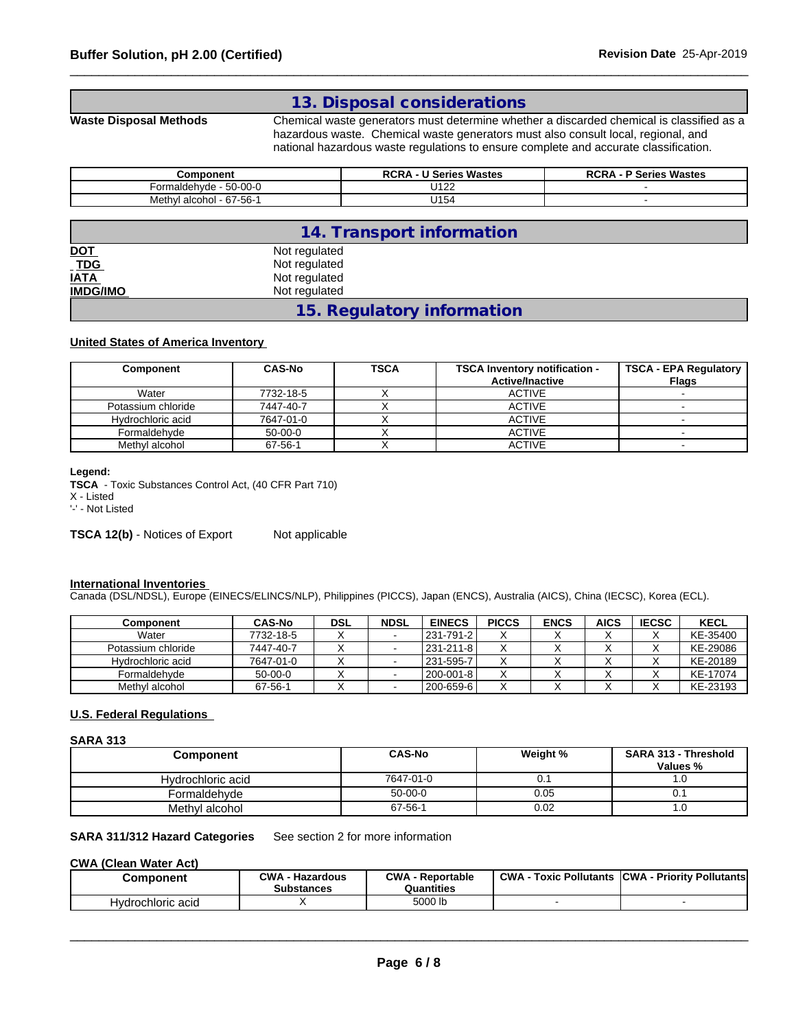# **13. Disposal considerations**

**Waste Disposal Methods** Chemical waste generators must determine whether a discarded chemical is classified as a hazardous waste. Chemical waste generators must also consult local, regional, and national hazardous waste regulations to ensure complete and accurate classification.

| Component                                          | <b>Series Wastes</b><br>oor<br>$\sim$ | <b>Series Wastes</b><br><b>DOD</b> |
|----------------------------------------------------|---------------------------------------|------------------------------------|
| $\sim$ $\sim$<br>$50 - 00 - 0$<br>aldehvde<br>∙orm | 11100<br>◡╷∠∠                         |                                    |
| 67-56-1<br>alcohoi<br>√leth.                       | 114 E .<br>⊿ ا ت                      |                                    |

|                                | 14. Transport information  |  |
|--------------------------------|----------------------------|--|
| DOT<br>TDG<br>IATA<br>IMDG/IMO | Not regulated              |  |
|                                | Not regulated              |  |
|                                | Not regulated              |  |
|                                | Not regulated              |  |
|                                | 15. Regulatory information |  |

# **United States of America Inventory**

| Component          | <b>CAS-No</b> | <b>TSCA</b> | <b>TSCA Inventory notification -</b><br><b>Active/Inactive</b> | <b>TSCA - EPA Regulatory</b><br>Flags |
|--------------------|---------------|-------------|----------------------------------------------------------------|---------------------------------------|
| Water              | 7732-18-5     |             | <b>ACTIVE</b>                                                  |                                       |
| Potassium chloride | 7447-40-7     | $\lambda$   | <b>ACTIVE</b>                                                  |                                       |
| Hydrochloric acid  | 7647-01-0     |             | <b>ACTIVE</b>                                                  |                                       |
| Formaldehvde       | $50-00-0$     |             | <b>ACTIVE</b>                                                  |                                       |
| Methyl alcohol     | 67-56-1       |             | <b>ACTIVE</b>                                                  |                                       |

**Legend:**

**TSCA** - Toxic Substances Control Act, (40 CFR Part 710)

X - Listed

'-' - Not Listed

**TSCA 12(b)** - Notices of Export Not applicable

### **International Inventories**

Canada (DSL/NDSL), Europe (EINECS/ELINCS/NLP), Philippines (PICCS), Japan (ENCS), Australia (AICS), China (IECSC), Korea (ECL).

| Component          | <b>CAS-No</b> | <b>DSL</b> | <b>NDSL</b> | <b>EINECS</b> | <b>PICCS</b>         | <b>ENCS</b> | <b>AICS</b> | <b>IECSC</b> | <b>KECL</b> |
|--------------------|---------------|------------|-------------|---------------|----------------------|-------------|-------------|--------------|-------------|
| Water              | 7732-18-5     |            |             | l 231-791-2 l | $\ddot{\phantom{1}}$ |             |             |              | KE-35400    |
| Potassium chloride | 7447-40-7     |            |             | 231-211-8     |                      |             |             |              | KE-29086    |
| Hydrochloric acid  | 7647-01-0     |            |             | 1231-595-7    |                      |             |             | ↗            | KE-20189    |
| Formaldehvde       | $50-00-0$     |            |             | l 200-001-8 l |                      |             |             |              | KE-17074    |
| Methyl alcohol     | 67-56-1       |            |             | l 200-659-6 l | v                    |             |             |              | KE-23193    |

### **U.S. Federal Regulations**

### **SARA 313**

| Component         | CAS-No    | Weight % | SARA 313 - Threshold |  |
|-------------------|-----------|----------|----------------------|--|
|                   |           |          | Values %             |  |
| Hydrochloric acid | 7647-01-0 | υ.       | . . U                |  |
| Formaldehvde      | $50-00-0$ | 0.05     | ∪. ∣                 |  |
| Methyl alcohol    | 67-56-1   | 0.02     | . . U                |  |

# **SARA 311/312 Hazard Categories** See section 2 for more information

## **CWA** (Clean Water Act)

| Component         | <b>CWA</b><br>. - Hazardous<br><b>Substances</b> | CWA<br><b>Reportable</b><br>Quantities | <b>CWA</b><br>: Pollutants<br>Toxic | <b>ICWA</b><br>√- Prioritv Pollutantsl√. |
|-------------------|--------------------------------------------------|----------------------------------------|-------------------------------------|------------------------------------------|
| Hydrochloric acid |                                                  | 5000 lb                                |                                     |                                          |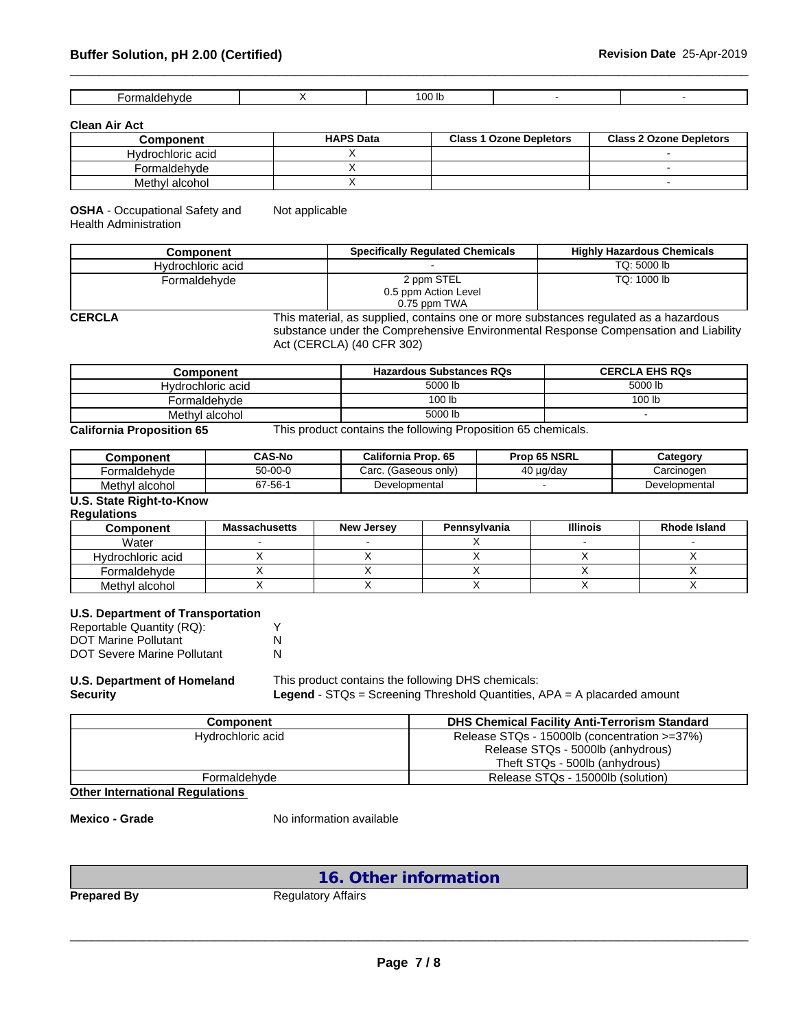| ' OC<br>--<br>- ---<br>ור<br>. |
|--------------------------------|
|--------------------------------|

**Clean Air Act**

ſ

| <b>Component</b>  | <b>HAPS Data</b> | <b>Class 1 Ozone Depletors</b> | <b>Class 2 Ozone Depletors</b> |
|-------------------|------------------|--------------------------------|--------------------------------|
| Hydrochloric acid |                  |                                |                                |
| Formaldehvde      |                  |                                |                                |
| Methyl alcohol    |                  |                                |                                |

**OSHA** - Occupational Safety and Health Administration Not applicable

| Component         | <b>Specifically Regulated Chemicals</b>            | <b>Highly Hazardous Chemicals</b> |
|-------------------|----------------------------------------------------|-----------------------------------|
| Hydrochloric acid |                                                    | TQ: 5000 lb                       |
| Formaldehvde      | 2 ppm STEL<br>0.5 ppm Action Level<br>0.75 ppm TWA | TQ: 1000 lb                       |

**CERCLA** This material, as supplied, contains one or more substances regulated as a hazardous substance under the Comprehensive Environmental Response Compensation and Liability Act (CERCLA) (40 CFR 302)

| Component                          | <b>Hazardous Substances RQs</b>              | <b>CERCLA EHS RQS</b> |
|------------------------------------|----------------------------------------------|-----------------------|
| Hydrochloric acid                  | 5000 lb                                      | 5000 lb               |
| Formaldehvde                       | 100 lb                                       | 100 lb                |
| Methyl alcohol                     | 5000 lb                                      |                       |
| —<br>$\sim$ $\sim$<br>--<br>.<br>- | .<br>$\sim$ $-$<br>$\cdots$<br>-<br>$\sim$ 1 |                       |

**California Proposition 65** This product contains the following Proposition 65 chemicals.

| Component         | <b>CAS-No</b> | California Prop. 65       | Prop 65 NSRL | Category      |
|-------------------|---------------|---------------------------|--------------|---------------|
| Formaldehvde      | $50 - 00 - 0$ | Carc.<br>(Gaseous onlv) . | 40 ug/dav    | Carcinogen    |
| Methv'<br>alcohol | 37-56-1       | Developmental             |              | Developmental |

# **U.S. State Right-to-Know**

**Regulations**

| Component         | <b>Massachusetts</b> | New Jersey | Pennsylvania | <b>Illinois</b> | <b>Rhode Island</b> |
|-------------------|----------------------|------------|--------------|-----------------|---------------------|
| Water             |                      |            |              |                 |                     |
| Hydrochloric acid |                      |            |              |                 |                     |
| Formaldehvde      |                      |            |              |                 |                     |
| Methyl alcohol    |                      |            |              |                 |                     |

| <b>U.S. Department of Transportation</b> |  |
|------------------------------------------|--|
|                                          |  |

| Reportable Quantity (RQ):          |   |
|------------------------------------|---|
| <b>DOT Marine Pollutant</b>        | N |
| <b>DOT Severe Marine Pollutant</b> | N |

# **U.S. Department of Homeland**

**Security**

# This product contains the following DHS chemicals: **Legend** - STQs = Screening Threshold Quantities, APA = A placarded amount

 $\_$  ,  $\_$  ,  $\_$  ,  $\_$  ,  $\_$  ,  $\_$  ,  $\_$  ,  $\_$  ,  $\_$  ,  $\_$  ,  $\_$  ,  $\_$  ,  $\_$  ,  $\_$  ,  $\_$  ,  $\_$  ,  $\_$  ,  $\_$  ,  $\_$  ,  $\_$  ,  $\_$  ,  $\_$  ,  $\_$  ,  $\_$  ,  $\_$  ,  $\_$  ,  $\_$  ,  $\_$  ,  $\_$  ,  $\_$  ,  $\_$  ,  $\_$  ,  $\_$  ,  $\_$  ,  $\_$  ,  $\_$  ,  $\_$  ,

| Component         | <b>DHS Chemical Facility Anti-Terrorism Standard</b> |
|-------------------|------------------------------------------------------|
| Hydrochloric acid | Release STQs - 15000lb (concentration >=37%)         |
|                   | Release STQs - 5000lb (anhydrous)                    |
|                   | Theft STQs - 500lb (anhydrous)                       |
| Formaldehvde      | Release STQs - 15000lb (solution)                    |

**Other International Regulations**

**Mexico - Grade** No information available

**16. Other information**

**Prepared By** Regulatory Affairs